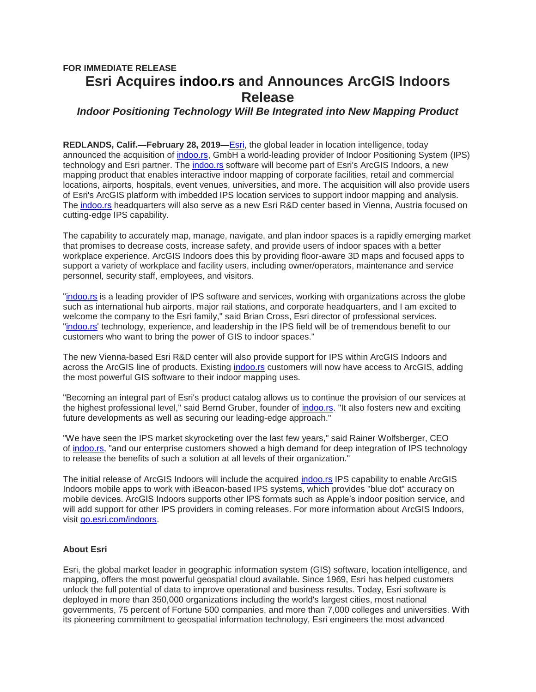## **FOR IMMEDIATE RELEASE Esri Acquires [indoo.rs](http://indoo.rs/) and Announces ArcGIS Indoors Release**

## *Indoor Positioning Technology Will Be Integrated into New Mapping Product*

**REDLANDS, Calif.—February 28, 2019—**[Esri,](https://www.esri.com/) the global leader in location intelligence, today announced the acquisition of [indoo.rs,](https://urldefense.proofpoint.com/v2/url?u=https-3A__indoo.rs_&d=DwMGaQ&c=n6-cguzQvX_tUIrZOS_4Og&r=RpLMkplKX4cRt1KEj4n01Rauc91ecIfJ70Xh0oyi_ms&m=piZOfkielMenxlUMEAwh73CcS10wJwHT5sTDJgLaaxY&s=SYLnhglT3PKvfaSYQJLSTyNdXjivucGoXYE2_cxB2gY&e=) GmbH a world-leading provider of Indoor Positioning System (IPS) technology and Esri partner. The [indoo.rs](http://indoo.rs/) software will become part of Esri's ArcGIS Indoors, a new mapping product that enables interactive indoor mapping of corporate facilities, retail and commercial locations, airports, hospitals, event venues, universities, and more. The acquisition will also provide users of Esri's ArcGIS platform with imbedded IPS location services to support indoor mapping and analysis. The [indoo.rs](http://indoo.rs/) headquarters will also serve as a new Esri R&D center based in Vienna, Austria focused on cutting-edge IPS capability.

The capability to accurately map, manage, navigate, and plan indoor spaces is a rapidly emerging market that promises to decrease costs, increase safety, and provide users of indoor spaces with a better workplace experience. ArcGIS Indoors does this by providing floor-aware 3D maps and focused apps to support a variety of workplace and facility users, including owner/operators, maintenance and service personnel, security staff, employees, and visitors.

["indoo.rs](http://indoo.rs/) is a leading provider of IPS software and services, working with organizations across the globe such as international hub airports, major rail stations, and corporate headquarters, and I am excited to welcome the company to the Esri family," said Brian Cross, Esri director of professional services. ["indoo.rs'](http://indoo.rs/) technology, experience, and leadership in the IPS field will be of tremendous benefit to our customers who want to bring the power of GIS to indoor spaces."

The new Vienna-based Esri R&D center will also provide support for IPS within ArcGIS Indoors and across the ArcGIS line of products. Existing [indoo.rs](http://indoo.rs/) customers will now have access to ArcGIS, adding the most powerful GIS software to their indoor mapping uses.

"Becoming an integral part of Esri's product catalog allows us to continue the provision of our services at the highest professional level," said Bernd Gruber, founder of [indoo.rs.](http://indoo.rs/) "It also fosters new and exciting future developments as well as securing our leading-edge approach."

"We have seen the IPS market skyrocketing over the last few years," said Rainer Wolfsberger, CEO of [indoo.rs,](http://indoo.rs/) "and our enterprise customers showed a high demand for deep integration of IPS technology to release the benefits of such a solution at all levels of their organization."

The initial release of ArcGIS Indoors will include the acquired [indoo.rs](http://indoo.rs/) IPS capability to enable ArcGIS Indoors mobile apps to work with iBeacon-based IPS systems, which provides "blue dot" accuracy on mobile devices. ArcGIS Indoors supports other IPS formats such as Apple's indoor position service, and will add support for other IPS providers in coming releases. For more information about ArcGIS Indoors, visit [go.esri.com/indoors.](https://go.esri.com/indoors)

## **About Esri**

Esri, the global market leader in geographic information system (GIS) software, location intelligence, and mapping, offers the most powerful geospatial cloud available. Since 1969, Esri has helped customers unlock the full potential of data to improve operational and business results. Today, Esri software is deployed in more than 350,000 organizations including the world's largest cities, most national governments, 75 percent of Fortune 500 companies, and more than 7,000 colleges and universities. With its pioneering commitment to geospatial information technology, Esri engineers the most advanced